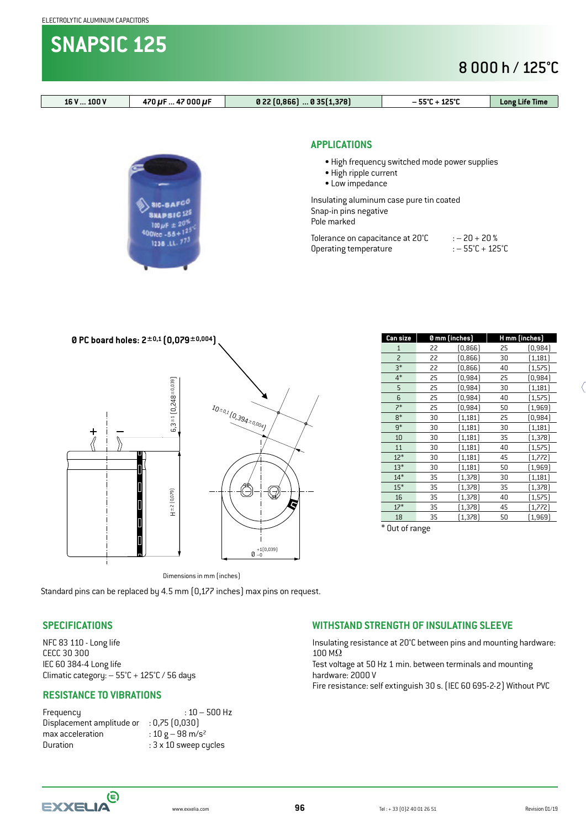**SNAPSIC 125**

## 8 000 h / 125°C



NFC 83 110 - Long life CECC 30 300 IEC 60 384-4 Long life Climatic category: – 55°C + 125°C / 56 days

#### **RESISTANCE TO VIBRATIONS**

Frequency : 10 – 500 Hz Displacement amplitude or : 0,75 (0,030) max acceleration  $\qquad \qquad : 10 \text{ g} - 98 \text{ m/s}^2$ Duration : 3 x 10 sweep cycles

Insulating resistance at 20°C between pins and mounting hardware: 100 MΩ

Test voltage at 50 Hz 1 min. between terminals and mounting hardware: 2000 V Fire resistance: self extinguish 30 s. (IEC 60 695-2-2) Without PVC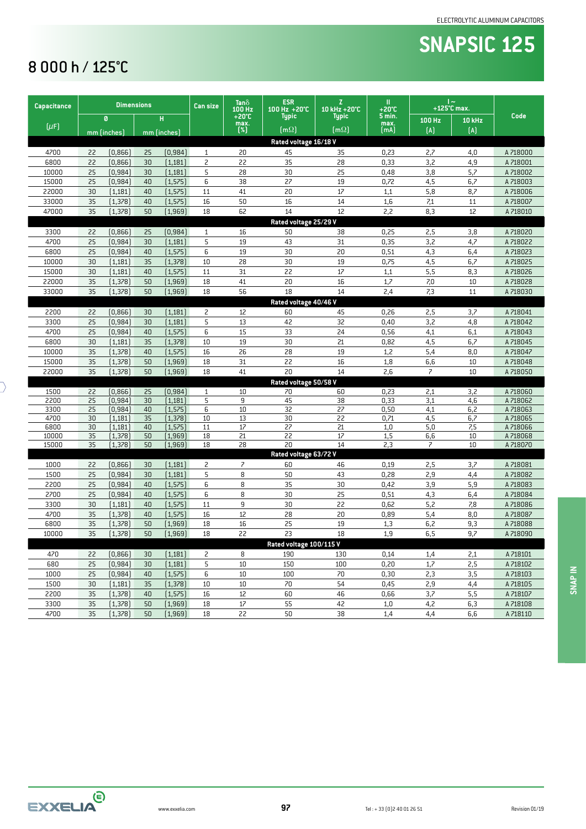# **SNAPSIC 125**

## 8 000 h / 125°C

 $\overline{\mathcal{C}}$ 

| Capacitance  |          | <b>Dimensions</b>    |          |                      | <b>Can size</b> | Tan ò<br>100 Hz               | <b>ESR</b><br>100 Hz +20°C  | Z.<br>10 kHz +20°C | Ш<br>$+20^{\circ}$ C | $\sim$<br>$+125^{\circ}$ C max. |               |                      |
|--------------|----------|----------------------|----------|----------------------|-----------------|-------------------------------|-----------------------------|--------------------|----------------------|---------------------------------|---------------|----------------------|
|              |          | Ø                    |          | н                    |                 | $+20^{\circ}$ C<br>max.       | <b>Typic</b>                | <b>Typic</b>       | $5$ min.<br>max.     | 100 Hz                          | <b>10 kHz</b> | Code                 |
| $[\mu$ F     |          | mm (inches)          |          | mm (inches)          |                 | $(*]$                         | [m $\Omega$ ]               | [m $\Omega$ ]      | [mA]                 | (A)                             | (A)           |                      |
|              |          |                      |          |                      |                 |                               | Rated voltage 16/18 V       |                    |                      |                                 |               |                      |
| 4700         | 22       | [0,866]              | 25       | (0, 984)             | 1               | 20                            | 45                          | 35                 | 0,23                 | 2,7                             | 4,0           | A 718000             |
| 6800         | 22       | [0,866]              | 30       | (1, 181)             | 2               | 22                            | 35                          | 28                 | 0,33                 | 3,2                             | 4,9           | A 718001             |
| 10000        | 25       | [0, 984]             | 30       | (1, 181)             | 5               | 28                            | 30                          | 25                 | 0,48                 | 3,8                             | 5,7           | A 718002             |
| 15000        | 25       | [0, 984]             | 40       | [1, 575]             | 6               | 38                            | 27                          | 19                 | 0,72                 | 4,5                             | 6,7           | A 718003             |
| 22000        | 30       | (1, 181)             | 40       | [1, 575]             | 11              | 41                            | 20                          | 17                 | 1,1                  | 5,8                             | 8,7           | A 718006             |
| 33000        | 35       | [1, 378]             | 40       | [1, 575]             | 16              | 50                            | 16                          | 14                 | 1,6                  | 7,1                             | 11            | A 718007             |
| 47000        | 35       | [1, 378]             | 50       | (1, 969)             | 18              | 62                            | 14                          | 12                 | 2,2                  | 8,3                             | 12            | A 718010             |
|              |          |                      |          |                      |                 |                               | Rated voltage 25/29 V       |                    |                      |                                 |               |                      |
| 3300         | 22       | [0,866]              | 25       | (0,984)              | 1               | 16                            | 50                          | 38                 | 0,25                 | 2,5                             | 3,8           | A 718020             |
| 4700         | 25       | [0, 984]             | 30       | (1, 181)             | 5               | 19                            | 43                          | 31                 | 0,35                 | 3,2                             | 4,7           | A 718022             |
| 6800         | 25       | [0, 984]             | 40       | [1, 575]             | 6               | 19                            | 30                          | 20                 | 0,51                 | 4,3                             | 6,4           | A 718023             |
| 10000        | 30       | (1, 181)             | 35       | [1, 378]             | 10              | 28                            | 30                          | 19                 | 0,75                 | 4,5                             | 6,7           | A 718025             |
| 15000        | 30       | (1, 181)             | 40       | [1, 575]             | 11              | 31                            | 22                          | 17                 | 1,1                  | 5,5                             | 8,3           | A 718026             |
| 22000        | 35       | [1, 378]             | 50       | (1, 969)             | 18              | 41                            | 20                          | 16                 | 1,7                  | 7,0                             | 10            | A 718028             |
| 33000        | 35       | (1, 378)             | 50       | (1, 969)             | 18              | 56                            | 18                          | 14                 | 2,4                  | 7,3                             | 11            | A 718030             |
|              |          |                      |          |                      |                 |                               | Rated voltage 40/46 V       |                    |                      |                                 |               |                      |
| 2200         | 22       | [0,866]              | 30       | (1, 181)             | 2               | 12                            | 60                          | 45                 | 0,26                 | 2,5                             | 3,7           | A 718041             |
| 3300         | 25       | [0, 984]             | 30       | (1, 181)             | 5               | 13                            | 42                          | 32                 | 0,40                 | 3,2                             | 4,8           | A 718042             |
| 4700         | 25       | [0, 984]             | 40       | [1, 575]             | 6               | 15                            | 33                          | 24                 | 0,56                 | 4,1                             | 6,1           | A 718043             |
| 6800         | 30       | (1, 181)             | 35       | (1, 378)             | 10              | 19                            | 30                          | 21                 | 0,82                 | 4,5                             | 6,7           | A 718045             |
| 10000        | 35       | (1, 378)             | 40       | [1, 575]             | 16              | 26                            | 28                          | 19                 | 1,2                  | 5,4                             | 8,0           | A 718047             |
| 15000        | 35       | [1, 378]             | 50       | (1, 969)             | 18              | 31                            | 22<br>20                    | 16<br>14           | 1,8                  | 6,6                             | 10            | A 718048             |
| 22000        | 35       | (1, 378)             | 50       | (1, 969)             | 18              | 41                            |                             |                    | 2,6                  | $\overline{\phantom{a}}$        | 10            | A 718050             |
| 1500         | 22       | (0,866)              | 25       | (0, 984)             | 1               | 10                            | Rated voltage 50/58 V<br>70 | 60                 | 0,23                 | 2,1                             | 3,2           | A 718060             |
| 2200         | 25       | [0,984]              | 30       | (1, 181)             | 5               | 9                             | 45                          | 38                 | 0,33                 | 3,1                             | 4,6           | A 718062             |
| 3300         | 25       | [0, 984]             | 40       | [1, 575]             | 6               | 10                            | 32                          | 27                 | 0,50                 | 4,1                             | 6,2           | A 718063             |
| 4700         | 30       | [1,181]              | 35       | (1, 378)             | 10              | 13                            | 30                          | 22                 | 0,71                 | 4,5                             | 6,7           | A 718065             |
| 6800         | 30       | [1,181]              | 40       | [1, 575]             | 11              | 17                            | 27                          | 21                 | 1,0                  | 5,0                             | 7,5           | A 718066             |
| 10000        | 35       | [1, 378]             | 50       | [1,969]              | 18              | 21                            | 22                          | 17                 | 1,5                  | 6,6                             | 10            | A 718068             |
| 15000        | 35       | [1, 378]             | 50       | (1, 969)             | 18              | 28                            | 20                          | 14                 | 2,3                  | $\overline{z}$                  | 10            | A 718070             |
|              |          |                      |          |                      |                 |                               | Rated voltage 63/72 V       |                    |                      |                                 |               |                      |
| 1000         | 22<br>25 | [0,866]              | 30       | (1, 181)             | 2<br>5          | $\overline{\phantom{a}}$<br>8 | 60                          | 46                 | 0,19                 | 2,5                             | 3,7           | A 718081             |
| 1500<br>2200 | 25       | [0, 984]<br>[0, 984] | 30<br>40 | (1, 181)<br>(1, 575) | 6               | 8                             | 50<br>35                    | 43<br>30           | 0,28<br>0,42         | 2,9<br>3,9                      | 4,4<br>5,9    | A 718082<br>A 718083 |
| 2700         | 25       | [0,984]              | 40       | [1, 575]             | 6               | 8                             | 30                          | 25                 | 0,51                 | 4,3                             | 6,4           | A 718084             |
| 3300         | 30       | [1,181]              | 40       | [1, 575]             | 11              | 9                             | 30                          | 22                 | 0,62                 | 5,2                             | 7,8           | A 718086             |
| 4700         | 35       | (1, 378)             | 40       | [1, 575]             | 16              | 12                            | 28                          | 20                 | 0,89                 | 5,4                             | 8,0           | A 718087             |
| 6800         | 35       | [1, 378]             | 50       | (1, 969)             | 18              | 16                            | 25                          | 19                 | 1,3                  | 6,2                             | 9,3           | A 718088             |
| 10000        | 35       | [1, 378]             | 50       | [1, 969]             | 18              | 22                            | 23                          | 18                 | 1,9                  | 6,5                             | 9,7           | A 718090             |
|              |          |                      |          |                      |                 |                               | Rated voltage 100/115V      |                    |                      |                                 |               |                      |
| 470          | 22       | [0, 866]             | 30       | (1, 181)             | 2               | 8                             | 190                         | 130                | 0,14                 | 1,4                             | 2,1           | A 718101             |
| 680          | 25       | (0, 984)             | 30       | (1, 181)             | 5               | 10                            | 150                         | 100                | 0,20                 | 1,7                             | 2,5           | A 718102             |
| 1000         | 25       | (0, 984)             | 40       | [1, 575]             | 6               | 10                            | 100                         | 70                 | 0,30                 | 2,3                             | 3,5           | A 718103             |
| 1500         | 30       | (1, 181)             | 35       | (1, 378)             | $10\,$          | 10                            | 70                          | 54                 | 0,45                 | 2,9                             | 4,4           | A 718105             |
| 2200         | 35       | (1, 378)             | 40       | [1, 575]             | 16              | $12$                          | 60                          | 46                 | 0,66                 | 3,7                             | 5,5           | A 718107             |
| 3300         | 35       | (1, 378)             | 50       | (1, 969)             | 18              | $17\,$                        | 55                          | 42                 | 1,0                  | 4,2                             | 6,3           | A 718108             |
| 4700         | 35       | (1, 378)             | 50       | (1, 969)             | $18\,$          | 22                            | $50\,$                      | 38                 | 1,4                  | 4,4                             | 6,6           | A 718110             |

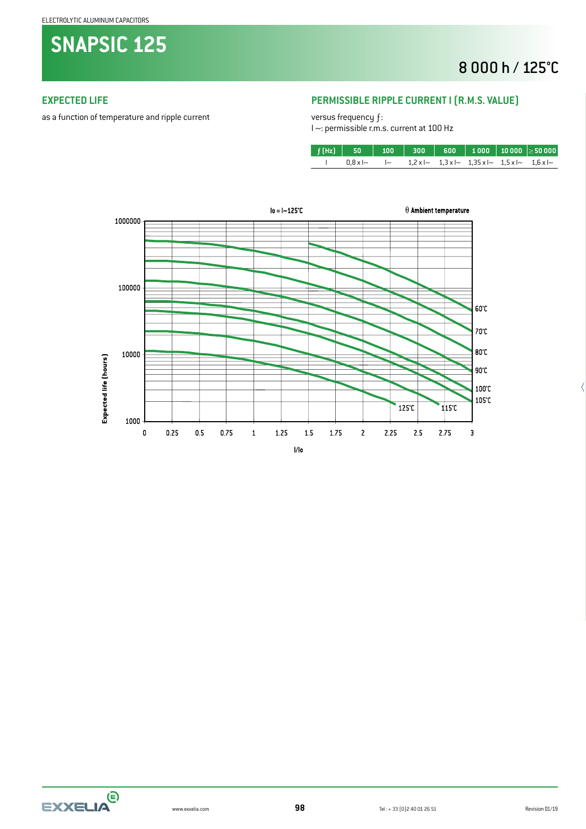**SNAPSIC 125**

## 8 000 h / 125°C

#### **EXPECTED LIFE**

as a function of temperature and ripple current

#### **PERMISSIBLE RIPPLE CURRENT I (R.M.S. VALUE)**

versus frequency ƒ:

I ~: permissible r.m.s. current at 100 Hz

| $0.8 \times 1$ ~ |  | $\sim$ 1,2xl~ 1,3xl~ 1,35xl~ 1,5xl~ 1,6xl~ |  |
|------------------|--|--------------------------------------------|--|



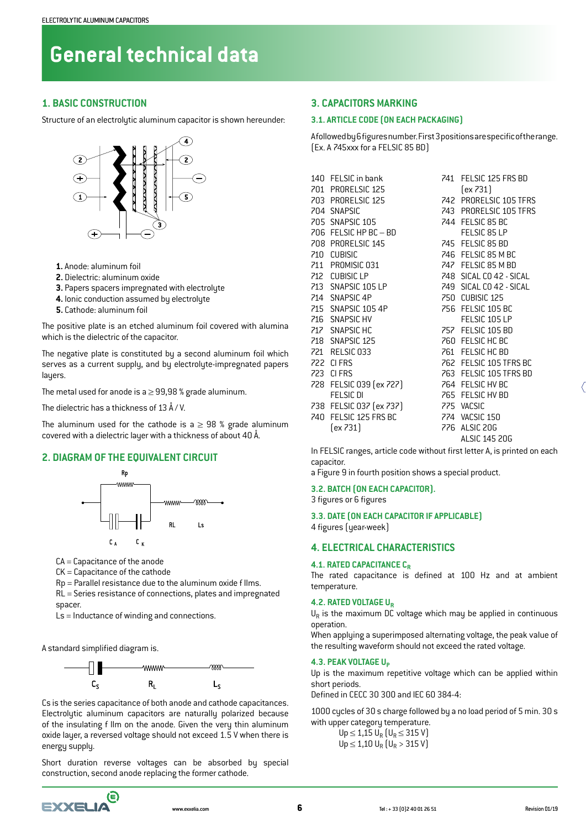#### **1. BASIC CONSTRUCTION**

Structure of an electrolytic aluminum capacitor is shown hereunder:



- **1.** Anode: aluminum foil
- **2.** Dielectric: aluminum oxide
- **3.** Papers spacers impregnated with electrolyte
- **4.** Ionic conduction assumed by electrolyte
- **5.** Cathode: aluminum foil

The positive plate is an etched aluminum foil covered with alumina which is the dielectric of the capacitor.

The negative plate is constituted by a second aluminum foil which serves as a current supply, and by electrolyte-impregnated papers lauers.

The metal used for anode is a  $\geq$  99,98 % grade aluminum.

The dielectric has a thickness of 13 Å / V.

The aluminum used for the cathode is a  $\geq$  98 % grade aluminum covered with a dielectric layer with a thickness of about 40 Å.

#### **2. DIAGRAM OF THE EQUIVALENT CIRCUIT**



CA = Capacitance of the anode

CK = Capacitance of the cathode

Rp = Parallel resistance due to the aluminum oxide f Ilms.

RL = Series resistance of connections, plates and impregnated spacer.

Ls = Inductance of winding and connections.

A standard simplified diagram is.



Cs is the series capacitance of both anode and cathode capacitances. Electrolytic aluminum capacitors are naturally polarized because of the insulating f Ilm on the anode. Given the very thin aluminum oxide layer, a reversed voltage should not exceed 1.5 V when there is energy supply.

Short duration reverse voltages can be absorbed by special construction, second anode replacing the former cathode.

#### **3. CAPACITORS MARKING**

#### **3.1. ARTICLE CODE (ON EACH PACKAGING)**

A followed by 6 figures number. First 3 positions are specific of the range. (Ex. A 745xxx for a FELSIC 85 BD)

| 140 FELSIC in bank      | 741 FELSIC 125 FRS BD   |
|-------------------------|-------------------------|
| 701 PRORELSIC 125       | $ex$ 731)               |
| 703 PRORELSIC 125       | 742 PRORELSIC 105 TFRS  |
| 704 SNAPSIC             | 743 PRORELSIC 105 TFRS  |
| 705 SNAPSIC 105         | 744 FELSIC 85 BC        |
| 706 FELSIC HP BC - BD   | FELSIC 85 LP            |
| 708 PRORELSIC 145       | 745 FELSIC 85 BD        |
| 710 CUBISIC             | 746 FELSIC 85 M BC      |
| 711 PROMISIC 031        | 747 FELSIC 85 M BD      |
| 712 CUBISIC LP          | 748 SICAL CO 42 - SICAL |
| 713 SNAPSIC 105 LP      | 749 SICAL CO 42 - SICAL |
| 714 SNAPSIC 4P          | 750 CUBISIC 125         |
| 715 SNAPSIC 105 4P      | 756 FELSIC 105 BC       |
| 716 SNAPSIC HV          | FELSIC 105 LP           |
| 717 SNAPSIC HC          | 757 FELSIC 105 BD       |
| 718 SNAPSIC 125         | 760 FELSIC HC BC        |
| 721 RELSIC 033          | 761 FELSIC HC BD        |
| 722 CIFRS               | 762 FELSIC 105 TFRS BC  |
| 723 CIFRS               | 763 FELSIC 105 TFRS BD  |
| 728 FELSIC 039 (ex 727) | 764 FELSIC HV BC        |
| <b>FELSIC DI</b>        | 765 FELSIC HV BD        |
| 738 FELSIC 037 (ex 737) | 775 VACSIC              |
| 740 FELSIC 125 FRS BC   | 774 VACSIC 150          |
| (ex 731)                | 776 ALSIC 20G           |
|                         | ALSIC 145 20G           |

In FELSIC ranges, article code without first letter A, is printed on each capacitor.

a Figure 9 in fourth position shows a special product.

#### **3.2. BATCH (ON EACH CAPACITOR).**

3 figures or 6 figures

**3.3. DATE (ON EACH CAPACITOR IF APPLICABLE)**

4 figures (year-week)

#### **4. ELECTRICAL CHARACTERISTICS**

#### **4.1. RATED CAPACITANCE C<sub>R</sub>**

The rated capacitance is defined at 100 Hz and at ambient temperature.

#### **4.2. RATED VOLTAGE UR**

 $U_R$  is the maximum DC voltage which may be applied in continuous operation.

When applying a superimposed alternating voltage, the peak value of the resulting waveform should not exceed the rated voltage.

#### **4.3. PEAK VOLTAGE Up**

Up is the maximum repetitive voltage which can be applied within short periods.

Defined in CECC 30 300 and IEC 60 384-4:

1000 cycles of 30 s charge followed by a no load period of 5 min. 30 s with upper category temperature.

> Up ≤ 1,15 U<sub>R</sub> (U<sub>R</sub> ≤ 315 V)  $Up \le 1,10$  U<sub>R</sub>  $[U_R > 315$  V]

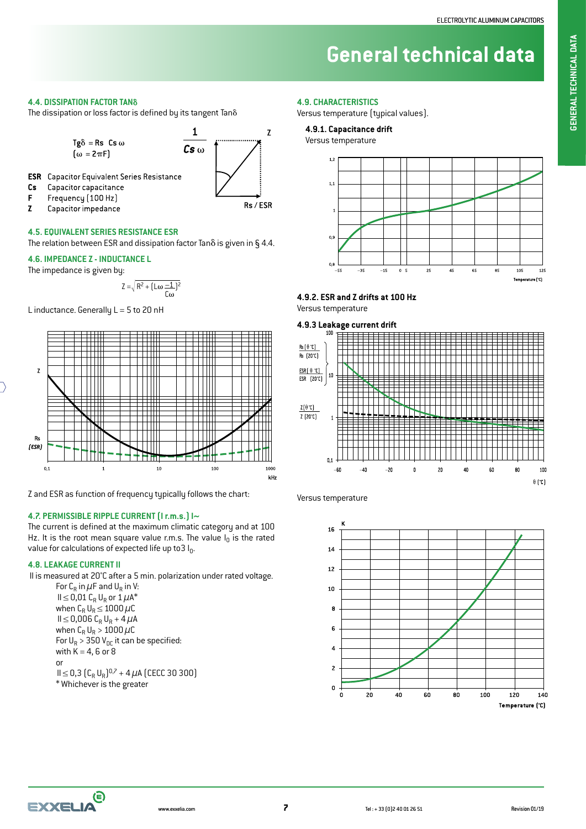**4.4. DISSIPATION FACTOR TAN**

The dissipation or loss factor is defined by its tangent  $\text{Tan} \delta$ 



Z Capacitor impedance

Cs

F

#### **4.5. EQUIVALENT SERIES RESISTANCE ESR**

The relation between ESR and dissipation factor Tan $\delta$  is given in  $\S$  4.4.

#### **4.6. IMPEDANCE Z - INDUCTANCE L**

The impedance is given by:

$$
Z = \sqrt{R^2 + \left(L\omega \frac{-1}{C\omega}\right)^2}
$$

L inductance. Generally  $L = 5$  to 20 nH



Z and ESR as function of frequency typically follows the chart:

#### **4.7. PERMISSIBLE RIPPLE CURRENT (I r.m.s.) I~**

The current is defined at the maximum climatic category and at 100 Hz. It is the root mean square value r.m.s. The value  $I_0$  is the rated value for calculations of expected life up to 3  $I_0$ .

#### **4.8. LEAKAGE CURRENT Il**

Il is measured at 20°C after a 5 min. polarization under rated voltage.

For  $C_R$  in  $\mu$ F and  $U_R$  in V:  $II \leq 0.01$  C<sub>R</sub> U<sub>R</sub> or  $1 \mu A^*$ when  $C_R U_R \leq 1000 \mu C$  $II ≤ 0,006 C_R U_R + 4 μA$ when  $C_R U_R > 1000 \mu C$ For  $U_R > 350 V_{DC}$  it can be specified: with  $K = 4$ , 6 or 8 or  $II ≤ 0,3$   $(C_R U_R)^{0,7} + 4 \mu A$  (CECC 30 300) \* Whichever is the greater

#### **4.9. CHARACTERISTICS**

Versus temperature (typical values).

#### **4.9.1. Capacitance drift**

Versus temperature



#### **4.9.2. ESR and Z drifts at 100 Hz** Versus temperature



Versus temperature





**7**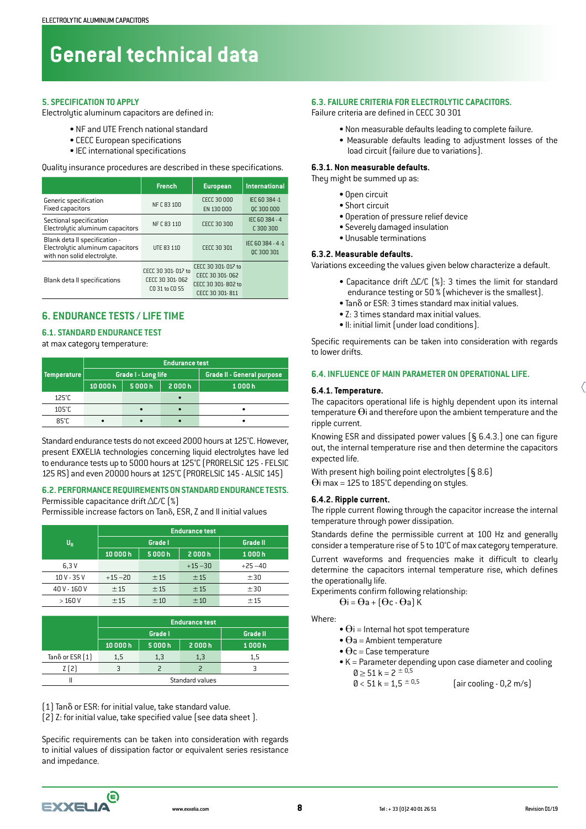#### **5. SPECIFICATION TO APPLY**

Electrolytic aluminum capacitors are defined in:

- NF and UTE French national standard
- CECC European specifications
- IEC international specifications

Quality insurance procedures are described in these specifications.

|                                                                                                  | <b>French</b>                                           | <b>European</b>                                                                | <b>International</b>            |
|--------------------------------------------------------------------------------------------------|---------------------------------------------------------|--------------------------------------------------------------------------------|---------------------------------|
| Generic specification<br><b>Fixed capacitors</b>                                                 | NF C 83 100                                             | CECC 30,000<br>EN 130 000                                                      | IEC 60 384 -1<br>OC 300 000     |
| Sectional specification<br>Electrolytic aluminum capacitors                                      | NF C 83 110                                             | CECC 30 300                                                                    | IEC 60 384 - 4<br>C300300       |
| Blank deta II specification -<br>Electrolytic aluminum capacitors<br>with non solid electrolyte. | UTE 83 110                                              | CECC 30 301                                                                    | IEC 60 384 - 4 -1<br>OC 300 301 |
| Blank deta II specifications                                                                     | CECC 30 301-017 to<br>CECC 30 301-062<br>CO 31 to CO 55 | CECC 30 301-017 to<br>CECC 30 301-062<br>CECC 30 301-802 to<br>CECC 30 301-811 |                                 |

#### **6. ENDURANCE TESTS / LIFE TIME**

#### **6.1. STANDARD ENDURANCE TEST**

#### at max category temperature:

|                    | <b>Endurance test</b> |                     |                            |       |  |  |  |
|--------------------|-----------------------|---------------------|----------------------------|-------|--|--|--|
| <b>Temperature</b> |                       | Grade I - Long life | Grade II - General purpose |       |  |  |  |
|                    | 5000h<br>10000h       |                     | 2000h                      | 1000h |  |  |  |
| 125°C              |                       |                     |                            |       |  |  |  |
| $105^\circ C$      |                       |                     |                            |       |  |  |  |
| $85^\circ$ C       |                       |                     |                            |       |  |  |  |

Standard endurance tests do not exceed 2000 hours at 125°C. However, present EXXELIA technologies concerning liquid electrolytes have led to endurance tests up to 5000 hours at 125°C (PRORELSIC 125 - FELSIC 125 RS) and even 20000 hours at 125°C (PRORELSIC 145 - ALSIC 145)

#### **6.2. PERFORMANCE REQUIREMENTS ON STANDARD ENDURANCE TESTS.** Permissible capacitance drift ∆C/C (%)

Permissible increase factors on Tano, ESR, Z and Il initial values

|                         | <b>Endurance test</b> |         |                 |            |  |  |  |  |
|-------------------------|-----------------------|---------|-----------------|------------|--|--|--|--|
| $\mathsf{U}_\mathsf{R}$ |                       | Grade I | <b>Grade II</b> |            |  |  |  |  |
|                         | 10000h                | 5000h   | 2000h           | 1000h      |  |  |  |  |
| 6.3V                    |                       |         | $+15 - 30$      | $+25 - 40$ |  |  |  |  |
| $10V - 35V$             | $+15 - 20$            | ±15     | ±15             | ±30        |  |  |  |  |
| 40 V - 160 V            | ±15                   | ±15     | ±15             | ±30        |  |  |  |  |
| >160V                   | ±15                   | ±10     | ±10             | $+15$      |  |  |  |  |

|                           |                 | <b>Endurance test</b>      |       |     |  |  |  |  |  |
|---------------------------|-----------------|----------------------------|-------|-----|--|--|--|--|--|
|                           |                 | <b>Grade II</b><br>Grade I |       |     |  |  |  |  |  |
|                           | 10000h          | 5000h                      | 1000h |     |  |  |  |  |  |
| Tan $\delta$ or ESR $[1]$ | 1,5             | 1,3                        | 1,3   | 1,5 |  |  |  |  |  |
| Z(2)                      |                 |                            |       |     |  |  |  |  |  |
|                           | Standard values |                            |       |     |  |  |  |  |  |

 $(1)$  Tan $\delta$  or ESR: for initial value, take standard value.

 $[2]$  Z: for initial value, take specified value (see data sheet).

Specific requirements can be taken into consideration with regards to initial values of dissipation factor or equivalent series resistance and impedance.

#### **6.3. FAILURE CRITERIA FOR ELECTROLYTIC CAPACITORS.**

Failure criteria are defined in CECC 30 301

- Non measurable defaults leading to complete failure.
- Measurable defaults leading to adjustment losses of the load circuit (failure due to variations).

#### **6.3.1. Non measurable defaults.**

They might be summed up as:

- Open circuit
- Short circuit
- Operation of pressure relief device
- Severely damaged insulation
- Unusable terminations

#### **6.3.2. Measurable defaults.**

Variations exceeding the values given below characterize a default.

- Capacitance drift ∆C/C (%): 3 times the limit for standard endurance testing or 50 % (whichever is the smallest).
- Tan  $\delta$  or ESR: 3 times standard max initial values.
- Z: 3 times standard max initial values.
- Il: initial limit (under load conditions).

Specific requirements can be taken into consideration with regards to lower drifts.

#### **6.4. INFLUENCE OF MAIN PARAMETER ON OPERATIONAL LIFE.**

#### **6.4.1. Temperature.**

The capacitors operational life is highly dependent upon its internal temperature  $\Theta$ i and therefore upon the ambient temperature and the ripple current.

Knowing ESR and dissipated power values  $(§ 6.4.3.)$  one can figure out, the internal temperature rise and then determine the capacitors expected life.

With present high boiling point electrolytes (§ 8.6)  $\Theta$ i max = 125 to 185°C depending on styles.

#### **6.4.2. Ripple current.**

The ripple current flowing through the capacitor increase the internal temperature through power dissipation.

Standards define the permissible current at 100 Hz and generally consider a temperature rise of 5 to 10°C of max category temperature.

Current waveforms and frequencies make it difficult to clearly determine the capacitors internal temperature rise, which defines the operationally life.

Experiments confirm following relationship:

$$
\Theta i = \Theta a + \left(\Theta c \cdot \Theta a\right) K
$$

Where:

- $\bullet$   $\Theta$ i = Internal hot spot temperature
- $\bullet$   $\Theta$ a = Ambient temperature
- $\bullet$   $\Theta$ c = Case temperature
- K = Parameter depending upon case diameter and cooling

 $\text{0} \ge 51 \text{ k} = 2 \pm 0.5$ <br>0 < 51 k = 1,5  $\pm$  0.5  $\left[\right.$ air cooling - 0,2 m/s $\right)$ 

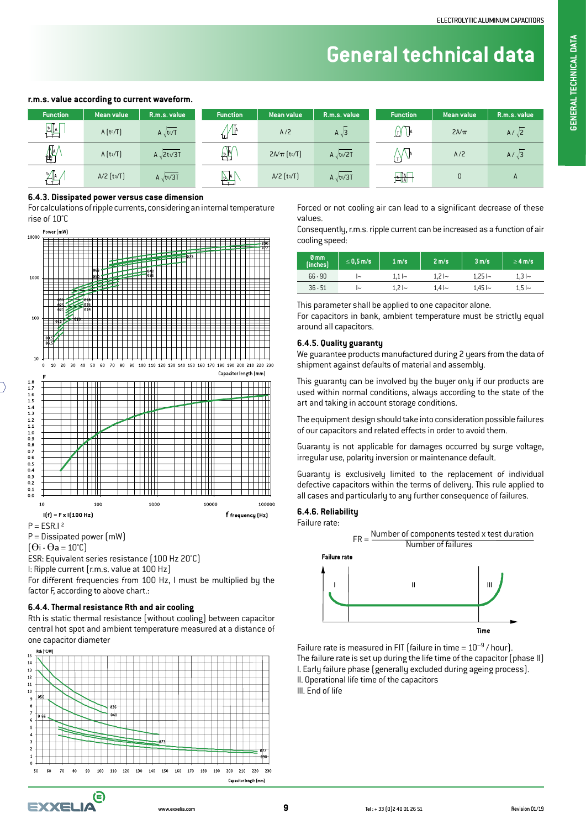#### **r.m.s. value according to current waveform.**

| <b>Function</b> | <b>Mean value</b> | R.m.s. value            | <b>Function</b>    | <b>Mean value</b> | R.m.s. value      | <b>Function</b>                                                  | Mean value | R.m.s. value |
|-----------------|-------------------|-------------------------|--------------------|-------------------|-------------------|------------------------------------------------------------------|------------|--------------|
| $\frac{1}{2}$   | A[t0/T]           | $A \sqrt{t \cdot T}$    | ╨<br>lы            | A/2               | $A\sqrt{3}$       | III U <sup>A</sup>                                               | $2A/\pi$   | $A/\sqrt{2}$ |
| ≝               | $A(t_1/T)$        | A $\sqrt{2t^1/3T}$      | $\mathbb{R}$       | $2A/\pi$ [to/T]   | $A\sqrt{t^0/2T}$  | $\mathbf{r}$                                                     | A/2        | $A/\sqrt{3}$ |
| t⊿la            | $A/2$ [to/T]      | A $\sqrt{\text{to/3T}}$ | <u>INL</u><br>$-1$ | $A/2$ [to/T]      | A $\sqrt{t_0/3T}$ | $\begin{array}{ c c }\n\hline\n\text{A} & \text{A}\n\end{array}$ |            | А            |

#### **6.4.3. Dissipated power versus case dimension**

For calculations of ripple currents, considering an internal temperature rise of 10°C



 $P = Dissigned power (mW)$ 

 $\Theta$ i -  $\Theta$ a = 10°C)

ESR: Equivalent series resistance (100 Hz 20°C)

I: Ripple current (r.m.s. value at 100 Hz)

For different frequencies from 100 Hz, I must be multiplied by the factor F, according to above chart.:

#### **6.4.4. Thermal resistance Rth and air cooling**

Rth is static thermal resistance (without cooling) between capacitor central hot spot and ambient temperature measured at a distance of one capacitor diameter



Forced or not cooling air can lead to a significant decrease of these values.

Consequently, r.m.s. ripple current can be increased as a function of air cooling speed:

| 0 <sub>mm</sub><br>(inches) | $\leq$ 0,5 m/s | 1 m/s        | 2 m/s        | 3 m/s         | $\geq$ 4 m/s |
|-----------------------------|----------------|--------------|--------------|---------------|--------------|
| $66 - 90$                   | ∼              | 1.1 I $\sim$ | $-1.21$      | 1.25 l~       | 1,3 I~       |
| $36 - 51$                   | ∼              | 1.2 I~       | 1.4 l $\sim$ | 1,45 l $\sim$ | $1,5 -$      |

This parameter shall be applied to one capacitor alone. For capacitors in bank, ambient temperature must be strictly equal around all capacitors.

#### **6.4.5. Quality guaranty**

We guarantee products manufactured during 2 years from the data of shipment against defaults of material and assembly.

This guaranty can be involved by the buyer only if our products are used within normal conditions, always according to the state of the art and taking in account storage conditions.

The equipment design should take into consideration possible failures of our capacitors and related effects in order to avoid them.

Guaranty is not applicable for damages occurred by surge voltage, irregular use, polarity inversion or maintenance default.

Guaranty is exclusively limited to the replacement of individual defective capacitors within the terms of delivery. This rule applied to all cases and particularly to any further consequence of failures.

#### **6.4.6. Reliability**

Failure rate:



Failure rate is measured in FIT (failure in time =  $10^{-9}$  / hour). The failure rate is set up during the life time of the capacitor (phase II) I. Early failure phase (generally excluded during ageing process). II. Operational life time of the capacitors III. End of life

www.exxelia.com Tel : + 33 (0)2 40 01 26 51 Revision 01/19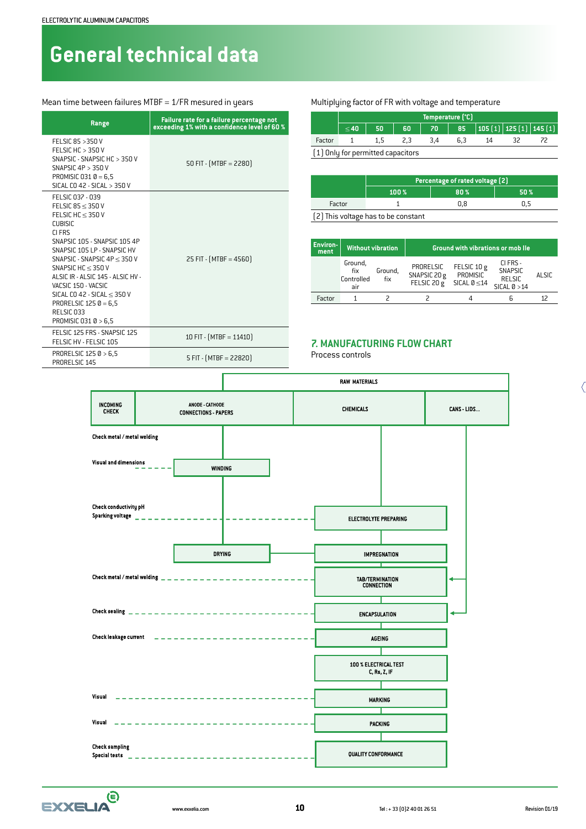#### Mean time between failures MTBF = 1/FR mesured in years Multiplying factor of FR with voltage and temperature

| Range                                                                                                                                                                                                                                                                                                                                                                                 | Failure rate for a failure percentage not<br>exceeding 1% with a confidence level of 60 % |
|---------------------------------------------------------------------------------------------------------------------------------------------------------------------------------------------------------------------------------------------------------------------------------------------------------------------------------------------------------------------------------------|-------------------------------------------------------------------------------------------|
| FFI SIC 85 $>$ 350 V<br>FELSIC HC $>$ 350 V<br>SNAPSIC - SNAPSIC HC > 350 V<br>SNAPSIC $4P > 350V$<br>PROMISIC 031 $0 = 6.5$<br>SICAL CO 42 - SICAL > 350 V                                                                                                                                                                                                                           | 50 FIT - $[MTBF = 2280]$                                                                  |
| FELSIC 037 - 039<br>FELSIC $85 \leq 350$ V<br>FELSIC HC $<$ 350 V<br><b>CUBISIC</b><br>CI FRS<br>SNAPSIC 105 - SNAPSIC 105 4P<br>SNAPSIC 105 LP - SNAPSIC HV<br>SNAPSIC - SNAPSIC $4P < 350V$<br>SNAPSIC HC $\leq$ 350 V<br>ALSIC IR - ALSIC 145 - ALSIC HV -<br>VACSIC 150 - VACSIC<br>SICAL CO 42 - SICAL $<$ 350 V<br>PRORELSIC $1250 = 6.5$<br>RELSIC 033<br>PROMISIC 031 0 > 6.5 | 25 FIT - $[MTBF = 4560]$                                                                  |
| FELSIC 125 FRS - SNAPSIC 125<br>FELSIC HV - FELSIC 105                                                                                                                                                                                                                                                                                                                                | 10 FIT - (MTBF = 11410)                                                                   |
| PRORELSIC 125 0 > 6,5<br>PRORELSIC 145                                                                                                                                                                                                                                                                                                                                                | $5$ FIT - $(MTBF = 22820)$                                                                |

|        |           |                                   |    | Temperature [°C] |     |                                       |  |
|--------|-----------|-----------------------------------|----|------------------|-----|---------------------------------------|--|
|        | $\leq 40$ | -50                               | 60 |                  |     | 70   85   105 [1]   125 [1]   145 [1] |  |
| Factor |           | 1.5                               |    | 3.4              | 6.3 | 14                                    |  |
|        |           | [1] Only for nermitted canacitors |    |                  |     |                                       |  |

(1) Only for permitted capacitors

|        | Percentage of rated voltage [2]     |     |     |  |  |  |  |  |
|--------|-------------------------------------|-----|-----|--|--|--|--|--|
|        | 100 %<br>80 <sup>%</sup><br>50%     |     |     |  |  |  |  |  |
| Factor |                                     | 0.8 | Ս.Ե |  |  |  |  |  |
|        | [2] This voltage has to be constant |     |     |  |  |  |  |  |

| <b>Environ-</b><br>ment | <b>Without vibration</b>            |                | <b>Ground with vibrations or mob lle</b> |                                              |                                                               |        |
|-------------------------|-------------------------------------|----------------|------------------------------------------|----------------------------------------------|---------------------------------------------------------------|--------|
|                         | Ground,<br>fix<br>Controlled<br>air | Ground.<br>fix | PRORELSIC<br>SNAPSIC 20 g<br>FELSIC 20 g | FELSIC 10 g<br>PROMISIC<br>SICAL $0 \leq 14$ | CI FRS -<br><b>SNAPSIC</b><br><b>RELSIC</b><br>$SICAL 0 > 14$ | ALSIC. |
| Factor                  |                                     |                |                                          |                                              |                                                               |        |

#### **7. MANUFACTURING FLOW CHART**

Process controls



 $\boldsymbol{\bm{\mathsf{\Theta}}}$ **EXXELIA**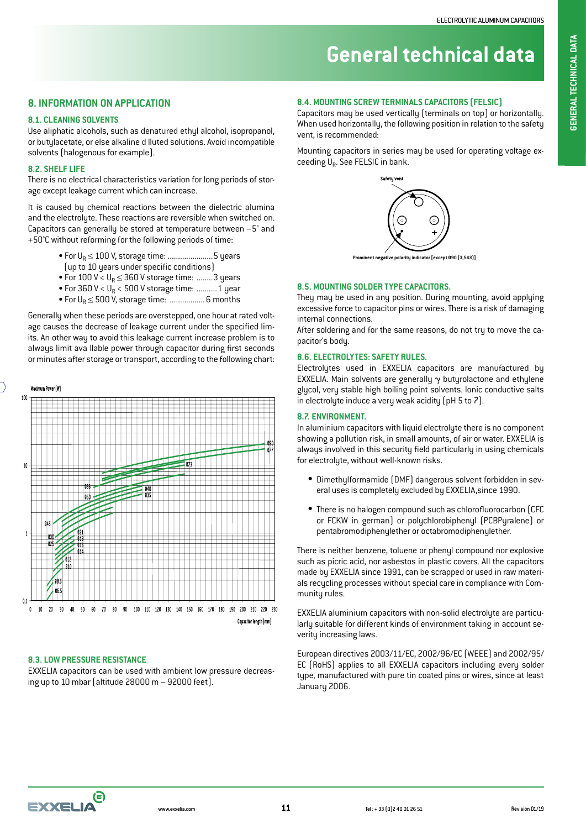# **GENERAL TECHNICAL DATA GENERAL TECHNICAL DATA**

## **General technical data**

#### **8. INFORMATION ON APPLICATION**

#### **8.1. CLEANING SOLVENTS**

Use aliphatic alcohols, such as denatured ethyl alcohol, isopropanol, or butylacetate, or else alkaline d Iluted solutions. Avoid incompatible solvents (halogenous for example).

#### **8.2. SHELF LIFE**

There is no electrical characteristics variation for long periods of storage except leakage current which can increase.

It is caused by chemical reactions between the dielectric alumina and the electrolyte. These reactions are reversible when switched on. Capacitors can generally be stored at temperature between –5° and +50°C without reforming for the following periods of time:

- For  $U_R \leq 100$  V, storage time: .........................5 years
- (up to 10 years under specific conditions)
- For  $100 \text{ V} < U_R \leq 360 \text{ V}$  storage time: ........ 3 years
- For 360 V <  $U_R$  < 500 V storage time: ........... 1 year
- For  $U_R \le 500$  V, storage time: .................... 6 months

Generally when these periods are overstepped, one hour at rated voltage causes the decrease of leakage current under the specified limits. An other way to avoid this leakage current increase problem is to always limit ava Ilable power through capacitor during first seconds or minutes after storage or transport, according to the following chart:



#### **8.3. LOW PRESSURE RESISTANCE**

EXXELIA capacitors can be used with ambient low pressure decreasing up to 10 mbar (altitude 28000 m – 92000 feet).

#### **8.4. MOUNTING SCREW TERMINALS CAPACITORS (FELSIC)**

Capacitors may be used vertically (terminals on top) or horizontally. When used horizontally, the following position in relation to the safety vent, is recommended:

Mounting capacitors in series may be used for operating voltage exceeding U<sub>R</sub>. See FELSIC in bank.



**Prominent negative polarity indicator [except Ø90 (3,543)]**

#### **8.5. MOUNTING SOLDER TYPE CAPACITORS.**

They may be used in any position. During mounting, avoid applying excessive force to capacitor pins or wires. There is a risk of damaging internal connections.

After soldering and for the same reasons, do not try to move the capacitor's body.

#### **8.6. ELECTROLYTES: SAFETY RULES.**

Electrolytes used in EXXELIA capacitors are manufactured by EXXELIA. Main solvents are generally  $\gamma$  butyrolactone and ethylene glycol, very stable high boiling point solvents. Ionic conductive salts in electrolyte induce a very weak acidity (pH 5 to 7).

#### **8.7. ENVIRONMENT.**

In aluminium capacitors with liquid electrolyte there is no component showing a pollution risk, in small amounts, of air or water. EXXELIA is always involved in this security field particularly in using chemicals for electrolyte, without well-known risks.

- Dimethylformamide (DMF) dangerous solvent forbidden in several uses is completely excluded by EXXELIA,since 1990.
- There is no halogen compound such as chlorofluorocarbon (CFC or FCKW in german) or polychlorobiphenyl (PCBPyralene) or pentabromodiphenylether or octabromodiphenylether.

There is neither benzene, toluene or phenyl compound nor explosive such as picric acid, nor asbestos in plastic covers. All the capacitors made by EXXELIA since 1991, can be scrapped or used in raw materials recycling processes without special care in compliance with Community rules.

EXXELIA aluminium capacitors with non-solid electrolyte are particularly suitable for different kinds of environment taking in account severity increasing laws.

European directives 2003/11/EC, 2002/96/EC (WEEE) and 2002/95/ EC (RoHS) applies to all EXXELIA capacitors including every solder type, manufactured with pure tin coated pins or wires, since at least January 2006.

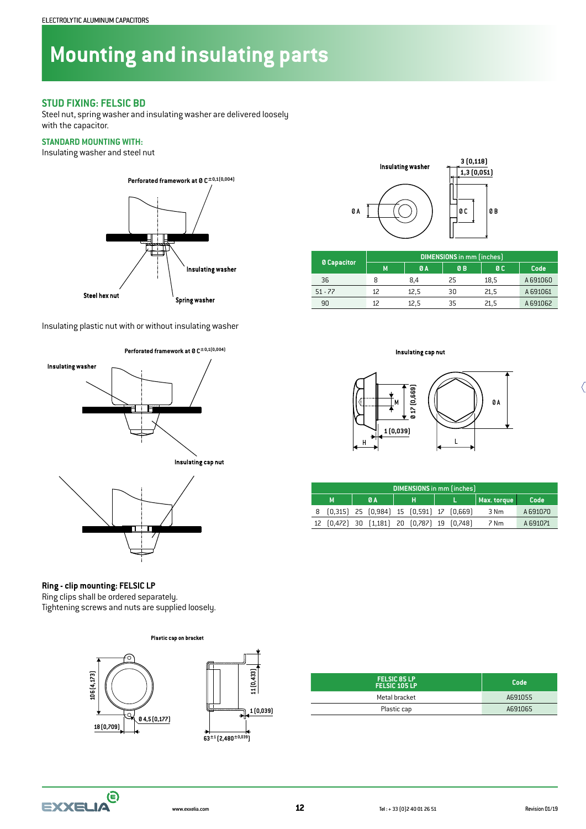## **Mounting and insulating parts**

#### **STUD FIXING: FELSIC BD**

Steel nut, spring washer and insulating washer are delivered loosely with the capacitor.

#### **STANDARD MOUNTING WITH:**

Insulating washer and steel nut



Insulating plastic nut with or without insulating washer







## **Ring - clip mounting: FELSIC LP**

Ring clips shall be ordered separately. Tightening screws and nuts are supplied loosely.

#### Plastic cap on bracket



| <b>FELSIC 85 LP</b><br><b>FELSIC 105 LP</b> | Code    |
|---------------------------------------------|---------|
| Metal bracket                               | A691055 |
| Plastic cap                                 | A691065 |
|                                             |         |





**12**



|                    | DIMENSIONS in mm (inches) |           |                |      |          |  |  |  |  |  |
|--------------------|---------------------------|-----------|----------------|------|----------|--|--|--|--|--|
| <b>0 Capacitor</b> | M                         | <b>0A</b> | 0 <sub>B</sub> | 0 C  | Code     |  |  |  |  |  |
| 36                 | 8                         | 8.4       | 25             | 18,5 | A691060  |  |  |  |  |  |
| $51 - 77$          | 12                        | 12,5      | 30             | 21,5 | A 691061 |  |  |  |  |  |
| 90                 | 12                        | 12.5      | 35             | 21.5 | A691062  |  |  |  |  |  |

#### Insulating cap nut



|                     | <b>DIMENSIONS</b> in mm (inches)            |  |  |  |  |             |      |      |          |
|---------------------|---------------------------------------------|--|--|--|--|-------------|------|------|----------|
| н<br><b>0A</b><br>M |                                             |  |  |  |  | Max. torque | Code |      |          |
|                     | 8 (0,315) 25 (0,984) 15 (0,591) 17 (0,669)  |  |  |  |  |             |      | 3 Nm | A 691070 |
|                     | 12 (0,472) 30 (1,181) 20 (0,787) 19 (0,748) |  |  |  |  |             |      | 7 Nm | A 691071 |

www.exxelia.com Tel : + 33 (0)2 40 01 26 51 Revision 01/19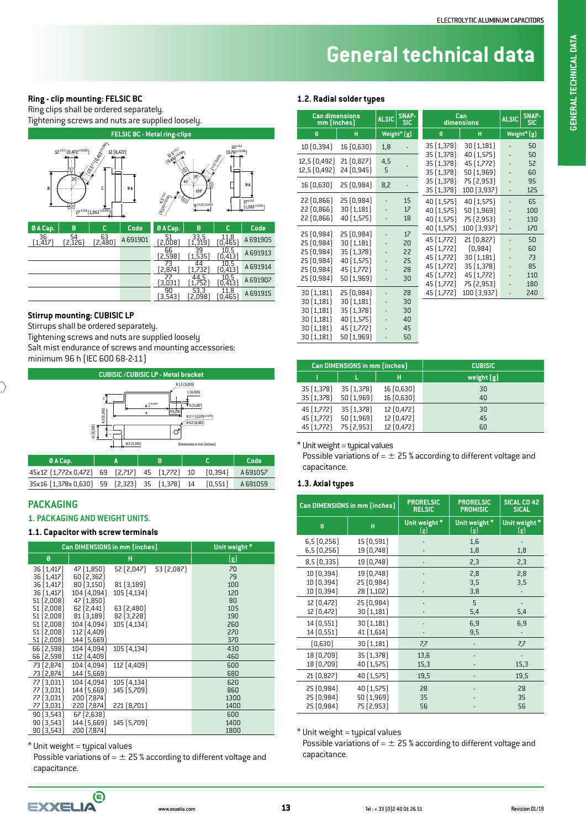### **Ring - clip mounting: FELSIC BC**

Ring clips shall be ordered separately.



#### **Stirrup mounting: CUBISIC LP**

Stirrups shall be ordered separately.

Tightening screws and nuts are supplied loosely

Salt mist endurance of screws and mounting accessories: minimum 96 h (IEC 600 68-2-11)



#### **PACKAGING**

#### **1. PACKAGING AND WEIGHT UNITS.**

#### **1.1. Capacitor with screw terminals**

|                          | Can DIMENSIONS in mm (inches) |             | Unit weight * |           |
|--------------------------|-------------------------------|-------------|---------------|-----------|
| Ø                        |                               | н           |               | (g)       |
| 36[1,417]                | 47 [1,850]                    | 52 (2,047)  | 53 (2,087)    | 70        |
| 36 [1,417]               | 60 [2,362]                    |             |               | 79        |
| 36[1,417]                | 80(3,150)                     | 81(3,189)   |               | 100       |
| 36 [1,417]<br>51 (2,008) | 104 (4,094)<br>47 [1,850]     | 105 [4,134] |               | 120<br>80 |
| 51(2,008)                | 62 [2,441]                    | 63(2,480)   |               | 105       |
| 51 [2,008]               | 81(3,189)                     | 82 [3,228]  |               | 190       |
| 51 [2,008]               | 104 (4,094)                   | 105 [4,134] |               | 260       |
| 51 [2,008]               | 112 [4,409]                   |             |               | 270       |
| 51 (2,008)               | 144 [5,669]                   |             |               | 370       |
| 66 (2,598)               | 104 (4,094)                   | 105 [4,134] |               | 430       |
| 66 (2,598)               | 112 [4,409]                   |             |               | 460       |
| 73 [2,874]               | 104 [4,094]                   | 112 [4,409] |               | 600       |
| 73 [2,874]               | 144 [5,669]                   |             |               | 680       |
| 77 [3,031]               | 104 (4,094)                   | 105 [4,134] |               | 620       |
| 77 (3,031)               | 144 [5,669]                   | 145 [5,709] |               | 860       |
| 77 [3,031]               | 200 [7,874]                   |             |               | 1300      |
| 77 (3,031)               | 220 [7,874]                   | 221 [8,701] |               | 1400      |
| 90(3,543)                | 67 [2,638]                    |             |               | 600       |
| 90(3,543)                | 144 [5,669]                   | 145 [5,709] |               | 1400      |
| 90(3,543)                | 200 (7,874)                   |             |               | 1800      |

 $*$  Unit weight = typical values

Possible variations of  $=$   $\pm$  25 % according to different voltage and capacitance.

#### **1.2. Radial solder types**

| <b>Can dimensions</b><br>mm (inches)                                             | <b>ALSIC</b>                                                                     | SNAP-<br><b>SIC</b> | Can<br>dimensions                | <b>ALSIC</b>                                                                                   | <b>SNAP-</b><br><b>SIC</b>                                                                  |                          |                                           |
|----------------------------------------------------------------------------------|----------------------------------------------------------------------------------|---------------------|----------------------------------|------------------------------------------------------------------------------------------------|---------------------------------------------------------------------------------------------|--------------------------|-------------------------------------------|
| Ø                                                                                | н                                                                                |                     | Weight* [g]                      | Ø                                                                                              | н                                                                                           |                          | Weight* (g)                               |
| 10 (0,394)                                                                       | 16 (0,630)                                                                       | 1,8                 |                                  | 35 (1,378)                                                                                     | 30(1,181)                                                                                   |                          | 50                                        |
| 12,5 [0,492]<br>12,5 [0,492]                                                     | 21 (0,827)<br>24 (0,945)                                                         | 4,5<br>5            |                                  | 35[1,378]<br>35 [1,378]<br>35 (1,378)                                                          | 40 [1,575]<br>45 [1,772]<br>50 [1,969]                                                      |                          | 50<br>52<br>60                            |
| 16 (0,630)                                                                       | 25(0,984)                                                                        | 8,2                 |                                  | 35 [1,378]<br>35 (1,378)                                                                       | 75 [2,953]<br>100 [3,937]                                                                   |                          | 95<br>125                                 |
| 22(0,866)<br>22 [0,866]<br>22 (0,866)                                            | 25 (0,984)<br>30 [1,181]<br>40 (1,575)                                           |                     | 15<br>17<br>18                   | 40 [1,575]<br>40 [1,575]<br>40 (1,575)                                                         | 40 [1,575]<br>50 [1,969]<br>75 [2,953]                                                      | $\overline{\phantom{a}}$ | 65<br>100<br>130                          |
| 25 (0,984)<br>25 (0,984)<br>25 (0,984)<br>25 (0,984)<br>25 (0,984)<br>25 (0,984) | 25 (0,984)<br>30 [1,181]<br>35 [1,378]<br>40 [1,575]<br>45 [1,772]<br>50 (1,969) |                     | 17<br>20<br>22<br>25<br>28<br>30 | 40 [1,575]<br>45 [1,772]<br>45 [1,772]<br>45 [1,772]<br>45 [1,772]<br>45 [1,772]<br>45 [1,772] | 100 [3,937]<br>21(0,827)<br>(0, 984)<br>30 [1,181]<br>35[1,378]<br>45 [1,772]<br>75 [2,953] | $\overline{a}$           | 170<br>50<br>60<br>73<br>85<br>110<br>180 |
| 30(1,181)<br>30(1,181)<br>30 [1,181]<br>30(1,181)<br>30(1,181)<br>30 [1,181]     | 25(0,984)<br>30 [1,181]<br>35 [1,378]<br>40 [1,575]<br>45 [1,772]<br>50 (1,969)  |                     | 28<br>30<br>30<br>40<br>45<br>50 | 45 [1,772]                                                                                     | 100 [3,937]                                                                                 |                          | 240                                       |

|            | Can DIMENSIONS in mm (inches) |            | <b>CUBISIC</b> |
|------------|-------------------------------|------------|----------------|
|            |                               | н          | weight $[g]$   |
| 35 [1,378] | 35 [1,378]                    | 16 (0,630) | 30             |
| 35 [1,378] | 50(1,969)                     | 16 (0,630) | 40             |
| 45 [1,772] | 35 [1,378]                    | 12 [0,472] | 30             |
| 45 [1,772] | 50 [1,969]                    | 12 [0,472] | 45             |
| 45 [1,772] | 75 [2,953]                    | 12 (0,472) | 60             |

 $*$  Unit weight = typical values

Possible variations of  $=$   $\pm$  25 % according to different voltage and capacitance.

#### **1.3. Axial types**

|                                        | Can DIMENSIONS in mm (inches)          | <b>PRORELSIC</b><br><b>RELSIC</b> | <b>PRORELSIC</b><br><b>PROMISIC</b> | SICAL CO 42<br><b>SICAL</b> |
|----------------------------------------|----------------------------------------|-----------------------------------|-------------------------------------|-----------------------------|
| Ø                                      | Ĥ                                      | Unit weight*<br>(g)               | Unit weight*<br>(g)                 | Unit weight*<br>(g)         |
| 6,5(0,256)<br>6,5(0,256)               | 15 (0,591)<br>19 (0,748)               |                                   | 1,6<br>1,8                          | 1,8                         |
| 8,5(0,335)                             | 19 [0,748]                             |                                   | 2,3                                 | 2,3                         |
| 10 [0,394]<br>10 [0,394]<br>10 [0,394] | 19 (0,748)<br>25 (0,984)<br>28 (1,102) |                                   | 2,8<br>3,5<br>3,8                   | 2,8<br>3,5                  |
| 12 [0,472]<br>12 (0,472)               | 25 (0,984)<br>30 [1,181]               |                                   | 5<br>5,4                            | 5,4                         |
| 14 (0,551)<br>14 (0,551)               | 30(1,181)<br>41 [1,614]                |                                   | 6,9<br>9,5                          | 6,9                         |
| [0,630]                                | 30 [1,181]                             | 7,7                               |                                     | 7,7                         |
| 18 (0,709)<br>18 (0,709)               | 35 [1,378]<br>40 [1,575]               | 13,6<br>15,3                      |                                     | 15,3                        |
| 21 [0,827]                             | 40 [1,575]                             | 19,5                              |                                     | 19,5                        |
| 25 (0,984)<br>25 (0,984)<br>25 (0,984) | 40 (1,575)<br>50 [1,969]<br>75 [2,953] | 28<br>35<br>56                    |                                     | 28<br>35<br>56              |

 $*$  Unit weight = typical values

Possible variations of  $=$   $\pm$  25 % according to different voltage and capacitance.